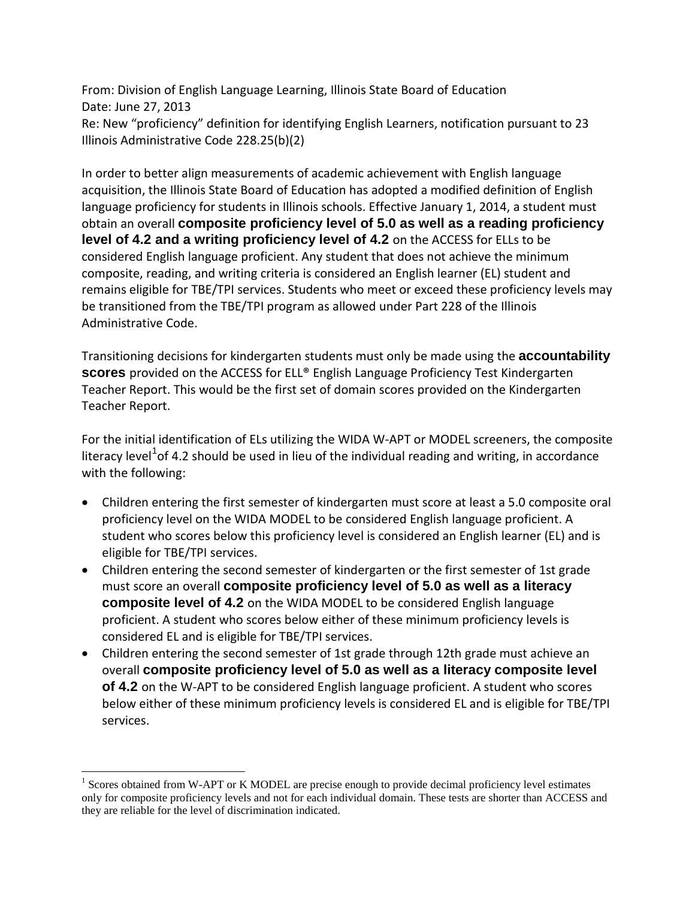From: Division of English Language Learning, Illinois State Board of Education Date: June 27, 2013 Re: New "proficiency" definition for identifying English Learners, notification pursuant to 23 Illinois Administrative Code 228.25(b)(2)

In order to better align measurements of academic achievement with English language acquisition, the Illinois State Board of Education has adopted a modified definition of English language proficiency for students in Illinois schools. Effective January 1, 2014, a student must obtain an overall **composite proficiency level of 5.0 as well as a reading proficiency level of 4.2 and a writing proficiency level of 4.2** on the ACCESS for ELLs to be considered English language proficient. Any student that does not achieve the minimum composite, reading, and writing criteria is considered an English learner (EL) student and remains eligible for TBE/TPI services. Students who meet or exceed these proficiency levels may be transitioned from the TBE/TPI program as allowed under Part 228 of the Illinois Administrative Code.

Transitioning decisions for kindergarten students must only be made using the **accountability scores** provided on the ACCESS for ELL® English Language Proficiency Test Kindergarten Teacher Report. This would be the first set of domain scores provided on the Kindergarten Teacher Report.

For the initial identification of ELs utilizing the WIDA W-APT or MODEL screeners, the composite literacy level<sup>[1](#page-0-0)</sup>of 4.2 should be used in lieu of the individual reading and writing, in accordance with the following:

- Children entering the first semester of kindergarten must score at least a 5.0 composite oral proficiency level on the WIDA MODEL to be considered English language proficient. A student who scores below this proficiency level is considered an English learner (EL) and is eligible for TBE/TPI services.
- Children entering the second semester of kindergarten or the first semester of 1st grade must score an overall **composite proficiency level of 5.0 as well as a literacy composite level of 4.2** on the WIDA MODEL to be considered English language proficient. A student who scores below either of these minimum proficiency levels is considered EL and is eligible for TBE/TPI services.
- Children entering the second semester of 1st grade through 12th grade must achieve an overall **composite proficiency level of 5.0 as well as a literacy composite level of 4.2** on the W-APT to be considered English language proficient. A student who scores below either of these minimum proficiency levels is considered EL and is eligible for TBE/TPI services.

<span id="page-0-0"></span><sup>&</sup>lt;sup>1</sup> Scores obtained from W-APT or K MODEL are precise enough to provide decimal proficiency level estimates only for composite proficiency levels and not for each individual domain. These tests are shorter than ACCESS and they are reliable for the level of discrimination indicated.  $\overline{a}$